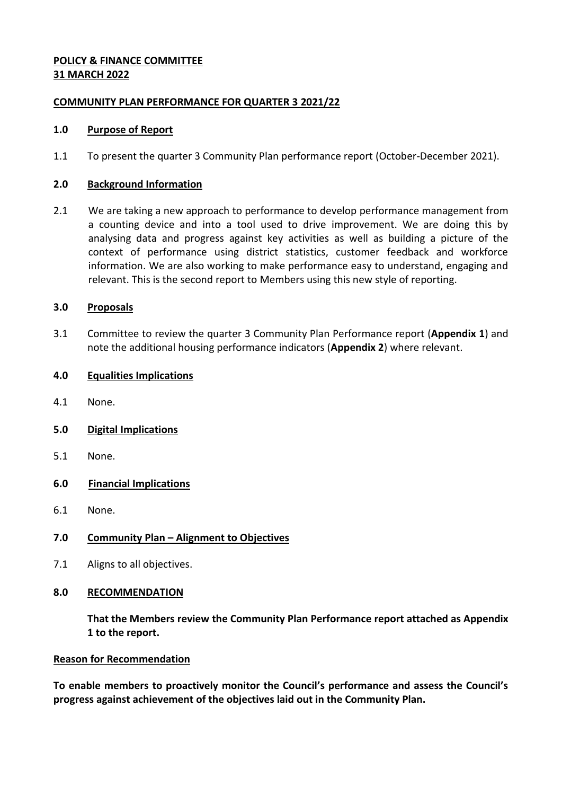# **POLICY & FINANCE COMMITTEE 31 MARCH 2022**

# **COMMUNITY PLAN PERFORMANCE FOR QUARTER 3 2021/22**

## **1.0 Purpose of Report**

1.1 To present the quarter 3 Community Plan performance report (October-December 2021).

### **2.0 Background Information**

2.1 We are taking a new approach to performance to develop performance management from a counting device and into a tool used to drive improvement. We are doing this by analysing data and progress against key activities as well as building a picture of the context of performance using district statistics, customer feedback and workforce information. We are also working to make performance easy to understand, engaging and relevant. This is the second report to Members using this new style of reporting.

## **3.0 Proposals**

3.1 Committee to review the quarter 3 Community Plan Performance report (**Appendix 1**) and note the additional housing performance indicators (**Appendix 2**) where relevant.

#### **4.0 Equalities Implications**

- 4.1 None.
- **5.0 Digital Implications**
- 5.1 None.
- **6.0 Financial Implications**
- 6.1 None.
- **7.0 Community Plan – Alignment to Objectives**
- 7.1 Aligns to all objectives.

#### **8.0 RECOMMENDATION**

**That the Members review the Community Plan Performance report attached as Appendix 1 to the report.** 

#### **Reason for Recommendation**

**To enable members to proactively monitor the Council's performance and assess the Council's progress against achievement of the objectives laid out in the Community Plan.**